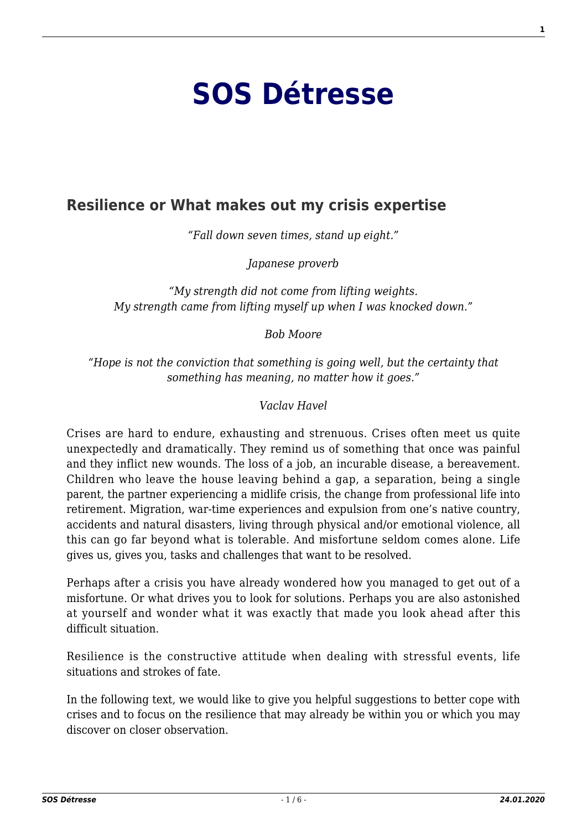# **[SOS Détresse](http://454545.lu/)**

#### **[Resilience or What makes out my crisis expertise](https://454545.lu/en/information-texts/crises-turning-points-in-life/resilience-or-what-makes-out-my-crisis-expertise/)**

*"Fall down seven times, stand up eight."*

*Japanese proverb*

*"My strength did not come from lifting weights. My strength came from lifting myself up when I was knocked down."*

*Bob Moore*

*"Hope is not the conviction that something is going well, but the certainty that something has meaning, no matter how it goes."*

*Vaclav Havel*

Crises are hard to endure, exhausting and strenuous. Crises often meet us quite unexpectedly and dramatically. They remind us of something that once was painful and they inflict new wounds. The loss of a job, an incurable disease, a bereavement. Children who leave the house leaving behind a gap, a separation, being a single parent, the partner experiencing a midlife crisis, the change from professional life into retirement. Migration, war-time experiences and expulsion from one's native country, accidents and natural disasters, living through physical and/or emotional violence, all this can go far beyond what is tolerable. And misfortune seldom comes alone. Life gives us, gives you, tasks and challenges that want to be resolved.

Perhaps after a crisis you have already wondered how you managed to get out of a misfortune. Or what drives you to look for solutions. Perhaps you are also astonished at yourself and wonder what it was exactly that made you look ahead after this difficult situation.

Resilience is the constructive attitude when dealing with stressful events, life situations and strokes of fate.

In the following text, we would like to give you helpful suggestions to better cope with crises and to focus on the resilience that may already be within you or which you may discover on closer observation.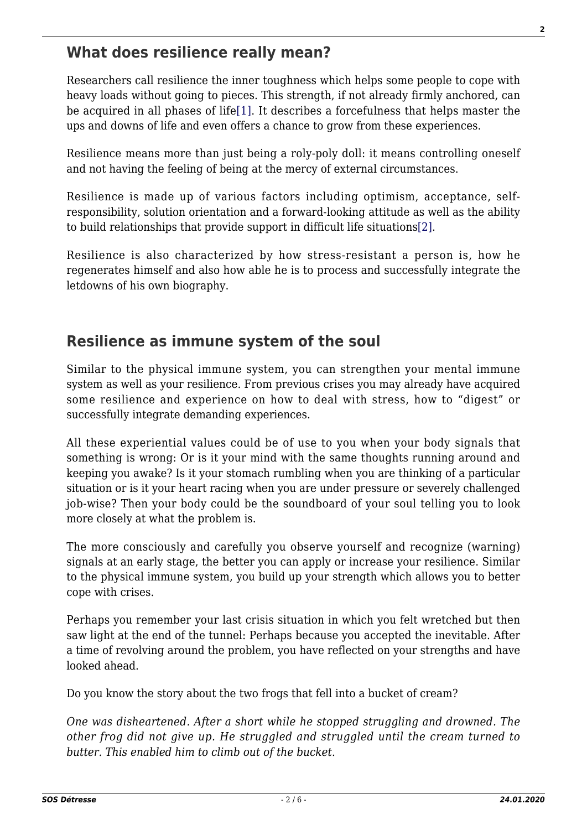#### **What does resilience really mean?**

<span id="page-1-0"></span>Researchers call resilience the inner toughness which helps some people to cope with heavy loads without going to pieces. This strength, if not already firmly anchored, can be acquired in all phases of life[\[1\]](#page-5-0). It describes a forcefulness that helps master the ups and downs of life and even offers a chance to grow from these experiences.

Resilience means more than just being a roly-poly doll: it means controlling oneself and not having the feeling of being at the mercy of external circumstances.

Resilience is made up of various factors including optimism, acceptance, selfresponsibility, solution orientation and a forward-looking attitude as well as the ability to build relationships that provide support in difficult life situations[\[2\]](#page-5-1).

<span id="page-1-1"></span>Resilience is also characterized by how stress-resistant a person is, how he regenerates himself and also how able he is to process and successfully integrate the letdowns of his own biography.

#### **Resilience as immune system of the soul**

Similar to the physical immune system, you can strengthen your mental immune system as well as your resilience. From previous crises you may already have acquired some resilience and experience on how to deal with stress, how to "digest" or successfully integrate demanding experiences.

All these experiential values could be of use to you when your body signals that something is wrong: Or is it your mind with the same thoughts running around and keeping you awake? Is it your stomach rumbling when you are thinking of a particular situation or is it your heart racing when you are under pressure or severely challenged job-wise? Then your body could be the soundboard of your soul telling you to look more closely at what the problem is.

The more consciously and carefully you observe yourself and recognize (warning) signals at an early stage, the better you can apply or increase your resilience. Similar to the physical immune system, you build up your strength which allows you to better cope with crises.

Perhaps you remember your last crisis situation in which you felt wretched but then saw light at the end of the tunnel: Perhaps because you accepted the inevitable. After a time of revolving around the problem, you have reflected on your strengths and have looked ahead.

Do you know the story about the two frogs that fell into a bucket of cream?

*One was disheartened. After a short while he stopped struggling and drowned. The other frog did not give up. He struggled and struggled until the cream turned to butter. This enabled him to climb out of the bucket.*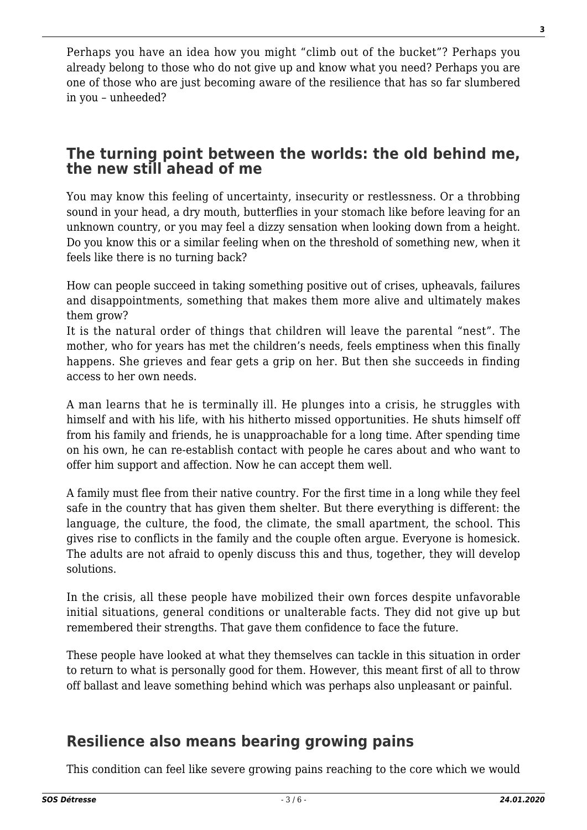Perhaps you have an idea how you might "climb out of the bucket"? Perhaps you already belong to those who do not give up and know what you need? Perhaps you are one of those who are just becoming aware of the resilience that has so far slumbered in you – unheeded?

#### **The turning point between the worlds: the old behind me, the new still ahead of me**

You may know this feeling of uncertainty, insecurity or restlessness. Or a throbbing sound in your head, a dry mouth, butterflies in your stomach like before leaving for an unknown country, or you may feel a dizzy sensation when looking down from a height. Do you know this or a similar feeling when on the threshold of something new, when it feels like there is no turning back?

How can people succeed in taking something positive out of crises, upheavals, failures and disappointments, something that makes them more alive and ultimately makes them grow?

It is the natural order of things that children will leave the parental "nest". The mother, who for years has met the children's needs, feels emptiness when this finally happens. She grieves and fear gets a grip on her. But then she succeeds in finding access to her own needs.

A man learns that he is terminally ill. He plunges into a crisis, he struggles with himself and with his life, with his hitherto missed opportunities. He shuts himself off from his family and friends, he is unapproachable for a long time. After spending time on his own, he can re-establish contact with people he cares about and who want to offer him support and affection. Now he can accept them well.

A family must flee from their native country. For the first time in a long while they feel safe in the country that has given them shelter. But there everything is different: the language, the culture, the food, the climate, the small apartment, the school. This gives rise to conflicts in the family and the couple often argue. Everyone is homesick. The adults are not afraid to openly discuss this and thus, together, they will develop solutions.

In the crisis, all these people have mobilized their own forces despite unfavorable initial situations, general conditions or unalterable facts. They did not give up but remembered their strengths. That gave them confidence to face the future.

These people have looked at what they themselves can tackle in this situation in order to return to what is personally good for them. However, this meant first of all to throw off ballast and leave something behind which was perhaps also unpleasant or painful.

## **Resilience also means bearing growing pains**

This condition can feel like severe growing pains reaching to the core which we would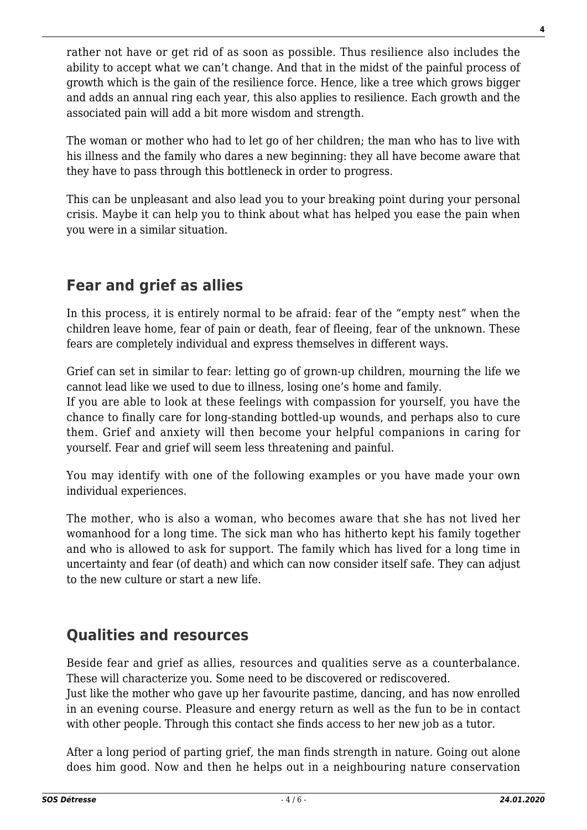rather not have or get rid of as soon as possible. Thus resilience also includes the ability to accept what we can't change. And that in the midst of the painful process of growth which is the gain of the resilience force. Hence, like a tree which grows bigger and adds an annual ring each year, this also applies to resilience. Each growth and the associated pain will add a bit more wisdom and strength.

The woman or mother who had to let go of her children; the man who has to live with his illness and the family who dares a new beginning: they all have become aware that they have to pass through this bottleneck in order to progress.

This can be unpleasant and also lead you to your breaking point during your personal crisis. Maybe it can help you to think about what has helped you ease the pain when you were in a similar situation.

# **Fear and grief as allies**

In this process, it is entirely normal to be afraid: fear of the "empty nest" when the children leave home, fear of pain or death, fear of fleeing, fear of the unknown. These fears are completely individual and express themselves in different ways.

Grief can set in similar to fear: letting go of grown-up children, mourning the life we cannot lead like we used to due to illness, losing one's home and family.

If you are able to look at these feelings with compassion for yourself, you have the chance to finally care for long-standing bottled-up wounds, and perhaps also to cure them. Grief and anxiety will then become your helpful companions in caring for yourself. Fear and grief will seem less threatening and painful.

You may identify with one of the following examples or you have made your own individual experiences.

The mother, who is also a woman, who becomes aware that she has not lived her womanhood for a long time. The sick man who has hitherto kept his family together and who is allowed to ask for support. The family which has lived for a long time in uncertainty and fear (of death) and which can now consider itself safe. They can adjust to the new culture or start a new life.

# **Qualities and resources**

Beside fear and grief as allies, resources and qualities serve as a counterbalance. These will characterize you. Some need to be discovered or rediscovered.

Just like the mother who gave up her favourite pastime, dancing, and has now enrolled in an evening course. Pleasure and energy return as well as the fun to be in contact with other people. Through this contact she finds access to her new job as a tutor.

After a long period of parting grief, the man finds strength in nature. Going out alone does him good. Now and then he helps out in a neighbouring nature conservation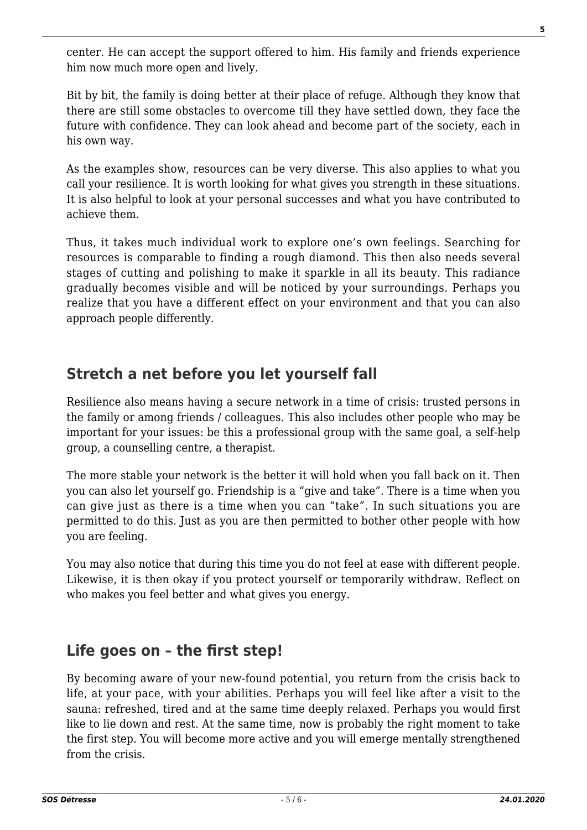center. He can accept the support offered to him. His family and friends experience him now much more open and lively.

Bit by bit, the family is doing better at their place of refuge. Although they know that there are still some obstacles to overcome till they have settled down, they face the future with confidence. They can look ahead and become part of the society, each in his own way.

As the examples show, resources can be very diverse. This also applies to what you call your resilience. It is worth looking for what gives you strength in these situations. It is also helpful to look at your personal successes and what you have contributed to achieve them.

Thus, it takes much individual work to explore one's own feelings. Searching for resources is comparable to finding a rough diamond. This then also needs several stages of cutting and polishing to make it sparkle in all its beauty. This radiance gradually becomes visible and will be noticed by your surroundings. Perhaps you realize that you have a different effect on your environment and that you can also approach people differently.

## **Stretch a net before you let yourself fall**

Resilience also means having a secure network in a time of crisis: trusted persons in the family or among friends / colleagues. This also includes other people who may be important for your issues: be this a professional group with the same goal, a self-help group, a counselling centre, a therapist.

The more stable your network is the better it will hold when you fall back on it. Then you can also let yourself go. Friendship is a "give and take". There is a time when you can give just as there is a time when you can "take". In such situations you are permitted to do this. Just as you are then permitted to bother other people with how you are feeling.

You may also notice that during this time you do not feel at ease with different people. Likewise, it is then okay if you protect yourself or temporarily withdraw. Reflect on who makes you feel better and what gives you energy.

## **Life goes on – the first step!**

By becoming aware of your new-found potential, you return from the crisis back to life, at your pace, with your abilities. Perhaps you will feel like after a visit to the sauna: refreshed, tired and at the same time deeply relaxed. Perhaps you would first like to lie down and rest. At the same time, now is probably the right moment to take the first step. You will become more active and you will emerge mentally strengthened from the crisis.